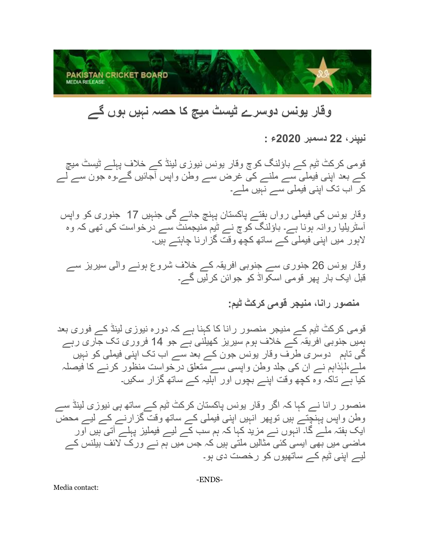

## **وقار یونس دوسرے ٹیسٹ میچ کا حصہ نہیں ہوں گے**

**نیپئر، 22 دسمبر 2020ء :**

قومی کرکٹ ٹیم کے باؤلنگ کوچ وقار یونس نیوزی لینڈ کے خالف پہلے ٹیسٹ میچ کے بعد اپنی فیملی سے ملنے کی غرض سے وطن واپس آجائیں گے۔وہ جون سے لے کر اب تک اپنی فیملی سے نہیں ملے۔

وقار یونس کی فیملی ر واں ہفتے پاکستان پہنچ جائے گی جنہیں 17 جنوری کو واپس آسٹریلیا روانہ ہونا ہے۔ باؤلنگ کوچ نے ٹیم منیجمنٹ سے درخواست کی تھی کہ وہ الہور میں اپنی فیملی کے ساتھ کچھ وقت گزارنا چاہتے ہیں۔

وقار یونس 26 جنوری سے جنوبی افریقہ کے خالف شروع ہونے والی سیریز سے قبل ایک بار پھر قومی اسکواڈ کو جوائن کرلیں گے۔

## **منصور رانا، منیجر قومی کرکٹ ٹیم:**

قومی کرکٹ ٹیم کے منیجر منصور رانا کا کہنا ہے کہ دورہ نیوزی لینڈ کے فوری بعد ہمیں جنوبی افریقہ کے خالف ہوم سیریز کھیلنی ہے جو 14 فروری تک جاری رہے گی تاہم دوسری طرف وقار یونس جون کے بعد س ے اب تک اپنی فیملی کو نہیں ہذاہم نے ان کی جلد وطن واپسی سے متعلق درخواست منظور کرنے کا فیصلہ ملے،ل ٰ کیا ہے تاکہ وہ کچھ وقت اپنے بچوں اور اہلیہ کے ساتھ گزار سکیں۔

منصور رانا نے کہا کہ اگر وقار یونس پاکستان کرکٹ ٹیم کے ساتھ ہی نیوزی لینڈ سے وطن واپس پہنچتے ہیں توپھر انہیں اپنی فیملی کے ساتھ وقت گزارنے کے لیے محض ایک ہفتہ ملے گا۔ انہوں نے مزید کہا کہ ہم سب کے لیے فیملیز پہلے آتی ہیں اور ماضی میں بھی ایسی کئی مثالیں ملتی ہیں کہ جس میں ہم نے ورک لائف بیلنس کے لیے اپنی ٹیم کے ساتھیوں کو رخصت دی ہو۔

Media contact: